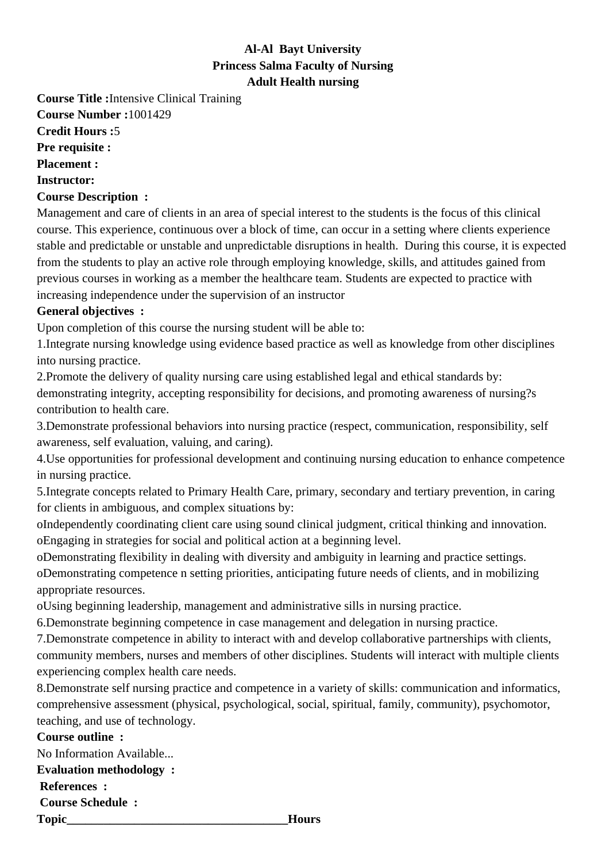## **Al-Al Bayt University Princess Salma Faculty of Nursing Adult Health nursing**

**Course Title :**Intensive Clinical Training **Course Number :**1001429

**Credit Hours :**5

**Pre requisite :**

**Placement :**

**Instructor:**

## **Course Description :**

Management and care of clients in an area of special interest to the students is the focus of this clinical course. This experience, continuous over a block of time, can occur in a setting where clients experience stable and predictable or unstable and unpredictable disruptions in health. During this course, it is expected from the students to play an active role through employing knowledge, skills, and attitudes gained from previous courses in working as a member the healthcare team. Students are expected to practice with increasing independence under the supervision of an instructor

## **General objectives :**

Upon completion of this course the nursing student will be able to:

1. Integrate nursing knowledge using evidence based practice as well as knowledge from other disciplines into nursing practice.

2. Promote the delivery of quality nursing care using established legal and ethical standards by: demonstrating integrity, accepting responsibility for decisions, and promoting awareness of nursing?s contribution to health care.

3. Demonstrate professional behaviors into nursing practice (respect, communication, responsibility, self awareness, self evaluation, valuing, and caring).

4. Use opportunities for professional development and continuing nursing education to enhance competence in nursing practice.

5. Integrate concepts related to Primary Health Care, primary, secondary and tertiary prevention, in caring for clients in ambiguous, and complex situations by: 

o Independently coordinating client care using sound clinical judgment, critical thinking and innovation. o Engaging in strategies for social and political action at a beginning level.

o Demonstrating flexibility in dealing with diversity and ambiguity in learning and practice settings.

o Demonstrating competence n setting priorities, anticipating future needs of clients, and in mobilizing appropriate resources.

o Using beginning leadership, management and administrative sills in nursing practice.

6. Demonstrate beginning competence in case management and delegation in nursing practice.

7. Demonstrate competence in ability to interact with and develop collaborative partnerships with clients, community members, nurses and members of other disciplines. Students will interact with multiple clients experiencing complex health care needs.

8. Demonstrate self nursing practice and competence in a variety of skills: communication and informatics, comprehensive assessment (physical, psychological, social, spiritual, family, community), psychomotor, teaching, and use of technology.

## **Course outline :**

No Information Available... **Evaluation methodology : References : Course Schedule :** Topic **Hours**